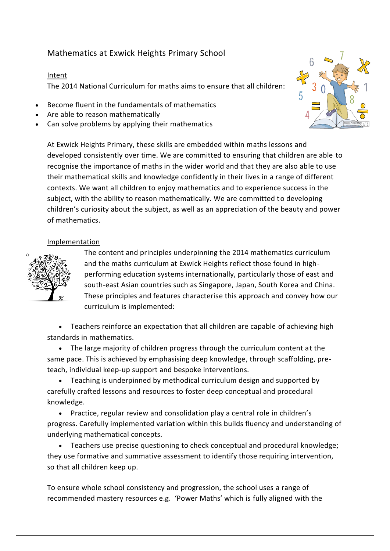## Mathematics at Exwick Heights Primary School

## Intent

The 2014 National Curriculum for maths aims to ensure that all children:

- Become fluent in the fundamentals of mathematics
- Are able to reason mathematically
- Can solve problems by applying their mathematics

At Exwick Heights Primary, these skills are embedded within maths lessons and developed consistently over time. We are committed to ensuring that children are able to recognise the importance of maths in the wider world and that they are also able to use their mathematical skills and knowledge confidently in their lives in a range of different contexts. We want all children to enjoy mathematics and to experience success in the subject, with the ability to reason mathematically. We are committed to developing children's curiosity about the subject, as well as an appreciation of the beauty and power of mathematics.

## Implementation



The content and principles underpinning the 2014 mathematics curriculum and the maths curriculum at Exwick Heights reflect those found in highperforming education systems internationally, particularly those of east and south-east Asian countries such as Singapore, Japan, South Korea and China. These principles and features characterise this approach and convey how our curriculum is implemented:

 Teachers reinforce an expectation that all children are capable of achieving high standards in mathematics.

 The large majority of children progress through the curriculum content at the same pace. This is achieved by emphasising deep knowledge, through scaffolding, preteach, individual keep-up support and bespoke interventions.

 Teaching is underpinned by methodical curriculum design and supported by carefully crafted lessons and resources to foster deep conceptual and procedural knowledge.

 Practice, regular review and consolidation play a central role in children's progress. Carefully implemented variation within this builds fluency and understanding of underlying mathematical concepts.

 Teachers use precise questioning to check conceptual and procedural knowledge; they use formative and summative assessment to identify those requiring intervention, so that all children keep up.

To ensure whole school consistency and progression, the school uses a range of recommended mastery resources e.g. 'Power Maths' which is fully aligned with the